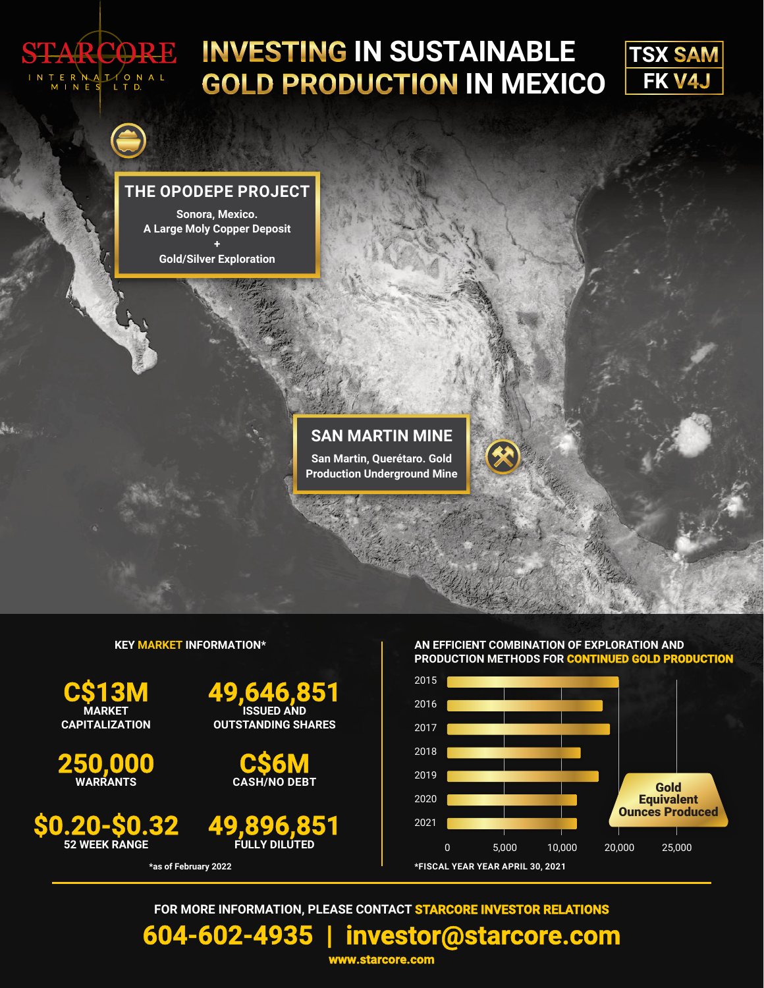

## **INVESTING IN SUSTAINABLE GOLD PRODUCTION IN MEXICO**



### **THE OPODEPE PROJECT**

**Sonora, Mexico. A Large Moly Copper Deposit +**

**Gold/Silver Exploration**



### **KEY MARKET INFORMATION\***

**\*as of February 2022**

**MARKET<br>CAPITALIZATION** 

**250,000 WARRANTS**

**\$0.20-\$0.32 <sup>52</sup> WEEK RANGE**







### **AN EFFICIENT COMBINATION OF EXPLORATION AND PRODUCTION METHODS FOR CONTINUED GOLD PRODUCTION**



**FOR MORE INFORMATION, PLEASE CONTACT STARCORE INVESTOR RELATIONS**

**604-602-4935 | [investor@starcore.com](mailto:investor@starcore.com)**

**<www.starcore.com>**